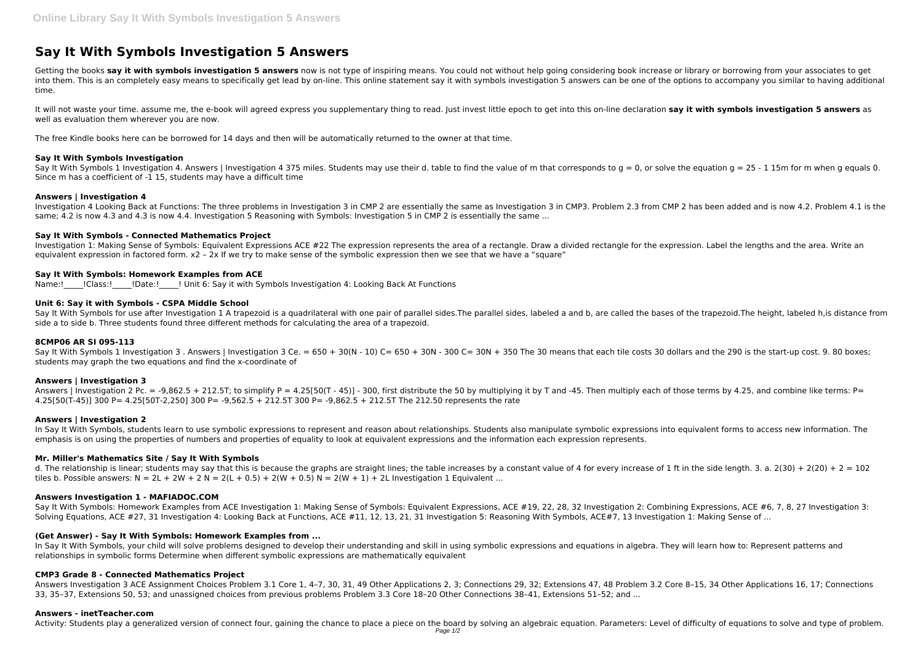# **Say It With Symbols Investigation 5 Answers**

Getting the books say it with symbols investigation 5 answers now is not type of inspiring means. You could not without help going considering book increase or library or borrowing from your associates to get into them. This is an completely easy means to specifically get lead by on-line. This online statement say it with symbols investigation 5 answers can be one of the options to accompany you similar to having additional time.

Say It With Symbols 1 Investigation 4. Answers I Investigation 4 375 miles. Students may use their d. table to find the value of m that corresponds to g = 0, or solve the equation g = 25 - 1 15m for m when g equals 0. Since m has a coefficient of -1 15, students may have a difficult time

It will not waste your time. assume me, the e-book will agreed express you supplementary thing to read. Just invest little epoch to get into this on-line declaration **say it with symbols investigation 5 answers** as well as evaluation them wherever you are now.

The free Kindle books here can be borrowed for 14 days and then will be automatically returned to the owner at that time.

# **Say It With Symbols Investigation**

# **Answers | Investigation 4**

Say It With Symbols for use after Investigation 1 A trapezoid is a quadrilateral with one pair of parallel sides. The parallel sides, labeled a and b, are called the bases of the trapezoid. The height, labeled h, is distan side a to side b. Three students found three different methods for calculating the area of a trapezoid.

Say It With Symbols 1 Investigation 3. Answers | Investigation 3 Ce. = 650 + 30(N - 10) C= 650 + 30N - 300 C= 30N + 350 The 30 means that each tile costs 30 dollars and the 290 is the start-up cost. 9. 80 boxes; students may graph the two equations and find the x-coordinate of

Investigation 4 Looking Back at Functions: The three problems in Investigation 3 in CMP 2 are essentially the same as Investigation 3 in CMP3. Problem 2.3 from CMP 2 has been added and is now 4.2. Problem 4.1 is the same; 4.2 is now 4.3 and 4.3 is now 4.4. Investigation 5 Reasoning with Symbols: Investigation 5 in CMP 2 is essentially the same ...

Answers | Investigation 2 Pc. = -9,862.5 + 212.5T; to simplify P = 4.25[50(T - 45)] - 300, first distribute the 50 by multiplying it by T and -45. Then multiply each of those terms by 4.25, and combine like terms: P= 4.25[50(T-45)] 300 P= 4.25[50T-2,250] 300 P= -9,562.5 + 212.5T 300 P= -9,862.5 + 212.5T The 212.50 represents the rate

# **Say It With Symbols - Connected Mathematics Project**

Investigation 1: Making Sense of Symbols: Equivalent Expressions ACE #22 The expression represents the area of a rectangle. Draw a divided rectangle for the expression. Label the lengths and the area. Write an equivalent expression in factored form. x2 - 2x If we try to make sense of the symbolic expression then we see that we have a "square"

In Say It With Symbols, students learn to use symbolic expressions to represent and reason about relationships. Students also manipulate symbolic expressions into equivalent forms to access new information. The emphasis is on using the properties of numbers and properties of equality to look at equivalent expressions and the information each expression represents.

# **Say It With Symbols: Homework Examples from ACE**

Name:! ! Class:! ! Date:! ! Unit 6: Say it with Symbols Investigation 4: Looking Back At Functions

# **Unit 6: Say it with Symbols - CSPA Middle School**

In Say It With Symbols, your child will solve problems designed to develop their understanding and skill in using symbolic expressions and equations in algebra. They will learn how to: Represent patterns and relationships in symbolic forms Determine when different symbolic expressions are mathematically equivalent

## **8CMP06 AR SI 095-113**

## **Answers | Investigation 3**

## **Answers | Investigation 2**

## **Mr. Miller's Mathematics Site / Say It With Symbols**

d. The relationship is linear; students may say that this is because the graphs are straight lines; the table increases by a constant value of 4 for every increase of 1 ft in the side length. 3. a. 2(30) + 2(20) + 2 = 102 tiles b. Possible answers:  $N = 2L + 2W + 2N = 2(L + 0.5) + 2(W + 0.5)N = 2(W + 1) + 2L$  Investigation 1 Equivalent ...

# **Answers Investigation 1 - MAFIADOC.COM**

Say It With Symbols: Homework Examples from ACE Investigation 1: Making Sense of Symbols: Equivalent Expressions, ACE #19, 22, 28, 32 Investigation 2: Combining Expressions, ACE #6, 7, 8, 27 Investigation 3: Solving Equations, ACE #27, 31 Investigation 4: Looking Back at Functions, ACE #11, 12, 13, 21, 31 Investigation 5: Reasoning With Symbols, ACE#7, 13 Investigation 1: Making Sense of ...

## **(Get Answer) - Say It With Symbols: Homework Examples from ...**

## **CMP3 Grade 8 - Connected Mathematics Project**

Answers Investigation 3 ACE Assignment Choices Problem 3.1 Core 1, 4–7, 30, 31, 49 Other Applications 2, 3; Connections 29, 32; Extensions 47, 48 Problem 3.2 Core 8–15, 34 Other Applications 16, 17; Connections 33, 35–37, Extensions 50, 53; and unassigned choices from previous problems Problem 3.3 Core 18–20 Other Connections 38–41, Extensions 51–52; and ...

## **Answers - inetTeacher.com**

Activity: Students play a generalized version of connect four, gaining the chance to place a piece on the board by solving an algebraic equation. Parameters: Level of difficulty of equations to solve and type of problem.